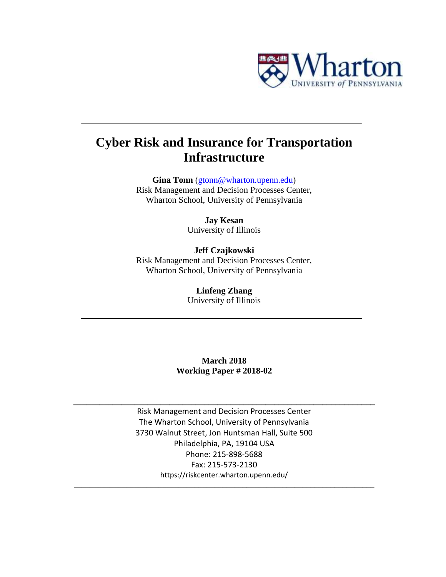

# **Cyber Risk and Insurance for Transportation Infrastructure**

**Gina Tonn** [\(gtonn@wharton.upenn.edu\)](mailto:gtonn@wharton.upenn.edu) Risk Management and Decision Processes Center, Wharton School, University of Pennsylvania

> **Jay Kesan** University of Illinois

#### **Jeff Czajkowski**

Risk Management and Decision Processes Center, Wharton School, University of Pennsylvania

> **Linfeng Zhang** University of Illinois

#### **March 2018 Working Paper # 2018-02**

**\_\_\_\_\_\_\_\_\_\_\_\_\_\_\_\_\_\_\_\_\_\_\_\_\_\_\_\_\_\_\_\_\_\_\_\_\_\_\_\_\_\_\_\_\_\_\_\_\_\_\_\_\_\_\_\_\_\_\_\_\_\_\_\_\_\_\_\_\_**

Risk Management and Decision Processes Center The Wharton School, University of Pennsylvania 3730 Walnut Street, Jon Huntsman Hall, Suite 500 Philadelphia, PA, 19104 USA Phone: 215-898-5688 Fax: 215-573-2130 https://riskcenter.wharton.upenn.edu/

**\_\_\_\_\_\_\_\_\_\_\_\_\_\_\_\_\_\_\_\_\_\_\_\_\_\_\_\_\_\_\_\_\_\_\_\_\_\_\_\_\_\_\_\_\_\_\_\_\_\_\_\_\_\_\_\_\_\_\_\_\_\_\_\_\_\_\_\_\_\_\_\_\_\_\_**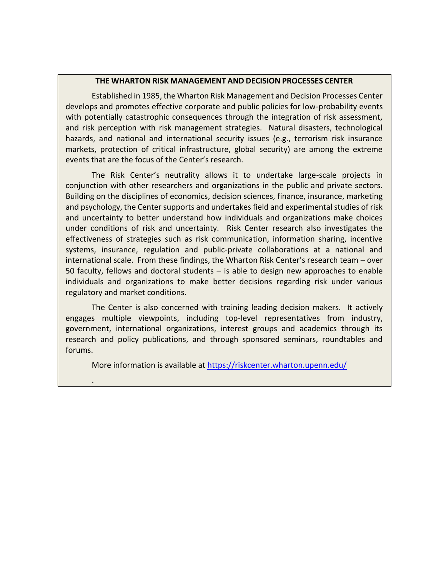#### **THE WHARTON RISK MANAGEMENT AND DECISION PROCESSES CENTER**

Established in 1985, the Wharton Risk Management and Decision Processes Center develops and promotes effective corporate and public policies for low-probability events with potentially catastrophic consequences through the integration of risk assessment, and risk perception with risk management strategies. Natural disasters, technological hazards, and national and international security issues (e.g., terrorism risk insurance markets, protection of critical infrastructure, global security) are among the extreme events that are the focus of the Center's research.

The Risk Center's neutrality allows it to undertake large-scale projects in conjunction with other researchers and organizations in the public and private sectors. Building on the disciplines of economics, decision sciences, finance, insurance, marketing and psychology, the Center supports and undertakes field and experimental studies of risk and uncertainty to better understand how individuals and organizations make choices under conditions of risk and uncertainty. Risk Center research also investigates the effectiveness of strategies such as risk communication, information sharing, incentive systems, insurance, regulation and public-private collaborations at a national and international scale. From these findings, the Wharton Risk Center's research team – over 50 faculty, fellows and doctoral students – is able to design new approaches to enable individuals and organizations to make better decisions regarding risk under various regulatory and market conditions.

The Center is also concerned with training leading decision makers. It actively engages multiple viewpoints, including top-level representatives from industry, government, international organizations, interest groups and academics through its research and policy publications, and through sponsored seminars, roundtables and forums.

More information is available at<https://riskcenter.wharton.upenn.edu/>

.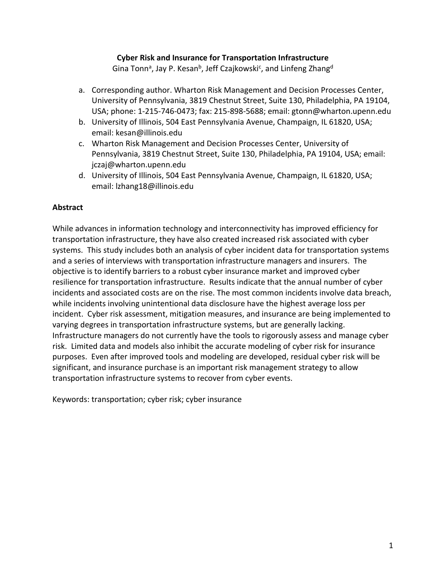#### **Cyber Risk and Insurance for Transportation Infrastructure**

Gina Tonn<sup>a</sup>, Jay P. Kesan<sup>b</sup>, Jeff Czajkowski<sup>c</sup>, and Linfeng Zhang<sup>d</sup>

- a. Corresponding author. Wharton Risk Management and Decision Processes Center, University of Pennsylvania, 3819 Chestnut Street, Suite 130, Philadelphia, PA 19104, USA; phone: 1-215-746-0473; fax: 215-898-5688; email: gtonn@wharton.upenn.edu
- b. University of Illinois, 504 East Pennsylvania Avenue, Champaign, IL 61820, USA; email: kesan@illinois.edu
- c. Wharton Risk Management and Decision Processes Center, University of Pennsylvania, 3819 Chestnut Street, Suite 130, Philadelphia, PA 19104, USA; email: jczaj@wharton.upenn.edu
- d. University of Illinois, 504 East Pennsylvania Avenue, Champaign, IL 61820, USA; email: lzhang18@illinois.edu

#### **Abstract**

While advances in information technology and interconnectivity has improved efficiency for transportation infrastructure, they have also created increased risk associated with cyber systems. This study includes both an analysis of cyber incident data for transportation systems and a series of interviews with transportation infrastructure managers and insurers. The objective is to identify barriers to a robust cyber insurance market and improved cyber resilience for transportation infrastructure. Results indicate that the annual number of cyber incidents and associated costs are on the rise. The most common incidents involve data breach, while incidents involving unintentional data disclosure have the highest average loss per incident. Cyber risk assessment, mitigation measures, and insurance are being implemented to varying degrees in transportation infrastructure systems, but are generally lacking. Infrastructure managers do not currently have the tools to rigorously assess and manage cyber risk. Limited data and models also inhibit the accurate modeling of cyber risk for insurance purposes. Even after improved tools and modeling are developed, residual cyber risk will be significant, and insurance purchase is an important risk management strategy to allow transportation infrastructure systems to recover from cyber events.

Keywords: transportation; cyber risk; cyber insurance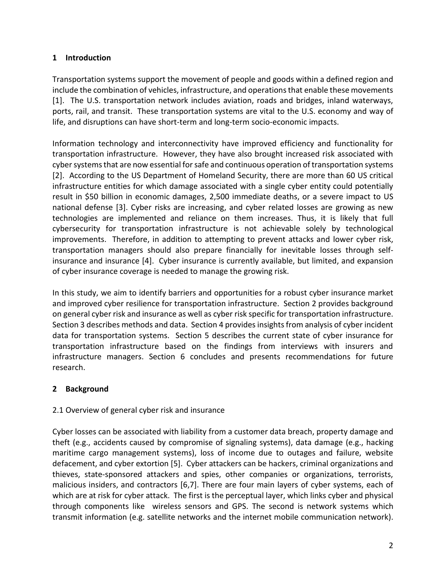## **1 Introduction**

Transportation systems support the movement of people and goods within a defined region and include the combination of vehicles, infrastructure, and operations that enable these movements [1]. The U.S. transportation network includes aviation, roads and bridges, inland waterways, ports, rail, and transit. These transportation systems are vital to the U.S. economy and way of life, and disruptions can have short-term and long-term socio-economic impacts.

Information technology and interconnectivity have improved efficiency and functionality for transportation infrastructure. However, they have also brought increased risk associated with cyber systems that are now essential for safe and continuous operation of transportation systems [2]. According to the US Department of Homeland Security, there are more than 60 US critical infrastructure entities for which damage associated with a single cyber entity could potentially result in \$50 billion in economic damages, 2,500 immediate deaths, or a severe impact to US national defense [3]. Cyber risks are increasing, and cyber related losses are growing as new technologies are implemented and reliance on them increases. Thus, it is likely that full cybersecurity for transportation infrastructure is not achievable solely by technological improvements. Therefore, in addition to attempting to prevent attacks and lower cyber risk, transportation managers should also prepare financially for inevitable losses through selfinsurance and insurance [4]. Cyber insurance is currently available, but limited, and expansion of cyber insurance coverage is needed to manage the growing risk.

In this study, we aim to identify barriers and opportunities for a robust cyber insurance market and improved cyber resilience for transportation infrastructure. Section 2 provides background on general cyber risk and insurance as well as cyber risk specific for transportation infrastructure. Section 3 describes methods and data. Section 4 provides insights from analysis of cyber incident data for transportation systems. Section 5 describes the current state of cyber insurance for transportation infrastructure based on the findings from interviews with insurers and infrastructure managers. Section 6 concludes and presents recommendations for future research.

# **2 Background**

## 2.1 Overview of general cyber risk and insurance

Cyber losses can be associated with liability from a customer data breach, property damage and theft (e.g., accidents caused by compromise of signaling systems), data damage (e.g., hacking maritime cargo management systems), loss of income due to outages and failure, website defacement, and cyber extortion [5]. Cyber attackers can be hackers, criminal organizations and thieves, state-sponsored attackers and spies, other companies or organizations, terrorists, malicious insiders, and contractors [6,7]. There are four main layers of cyber systems, each of which are at risk for cyber attack. The first is the perceptual layer, which links cyber and physical through components like wireless sensors and GPS. The second is network systems which transmit information (e.g. satellite networks and the internet mobile communication network).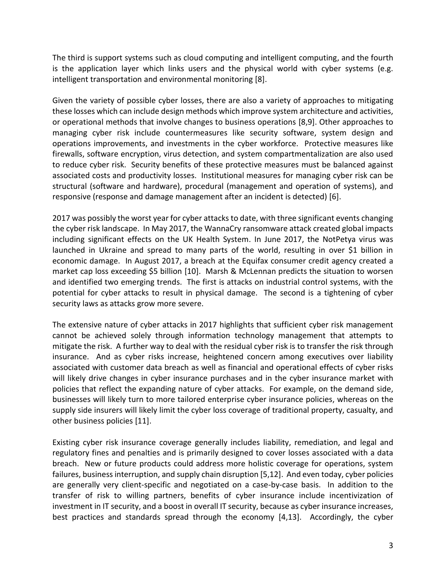The third is support systems such as cloud computing and intelligent computing, and the fourth is the application layer which links users and the physical world with cyber systems (e.g. intelligent transportation and environmental monitoring [8].

Given the variety of possible cyber losses, there are also a variety of approaches to mitigating these losses which can include design methods which improve system architecture and activities, or operational methods that involve changes to business operations [8,9]. Other approaches to managing cyber risk include countermeasures like security software, system design and operations improvements, and investments in the cyber workforce. Protective measures like firewalls, software encryption, virus detection, and system compartmentalization are also used to reduce cyber risk. Security benefits of these protective measures must be balanced against associated costs and productivity losses. Institutional measures for managing cyber risk can be structural (software and hardware), procedural (management and operation of systems), and responsive (response and damage management after an incident is detected) [6].

2017 was possibly the worst year for cyber attacks to date, with three significant events changing the cyber risk landscape. In May 2017, the WannaCry ransomware attack created global impacts including significant effects on the UK Health System. In June 2017, the NotPetya virus was launched in Ukraine and spread to many parts of the world, resulting in over \$1 billion in economic damage. In August 2017, a breach at the Equifax consumer credit agency created a market cap loss exceeding \$5 billion [10]. Marsh & McLennan predicts the situation to worsen and identified two emerging trends. The first is attacks on industrial control systems, with the potential for cyber attacks to result in physical damage. The second is a tightening of cyber security laws as attacks grow more severe.

The extensive nature of cyber attacks in 2017 highlights that sufficient cyber risk management cannot be achieved solely through information technology management that attempts to mitigate the risk. A further way to deal with the residual cyber risk is to transfer the risk through insurance. And as cyber risks increase, heightened concern among executives over liability associated with customer data breach as well as financial and operational effects of cyber risks will likely drive changes in cyber insurance purchases and in the cyber insurance market with policies that reflect the expanding nature of cyber attacks. For example, on the demand side, businesses will likely turn to more tailored enterprise cyber insurance policies, whereas on the supply side insurers will likely limit the cyber loss coverage of traditional property, casualty, and other business policies [11].

Existing cyber risk insurance coverage generally includes liability, remediation, and legal and regulatory fines and penalties and is primarily designed to cover losses associated with a data breach. New or future products could address more holistic coverage for operations, system failures, business interruption, and supply chain disruption [5,12]. And even today, cyber policies are generally very client-specific and negotiated on a case-by-case basis. In addition to the transfer of risk to willing partners, benefits of cyber insurance include incentivization of investment in IT security, and a boost in overall IT security, because as cyber insurance increases, best practices and standards spread through the economy [4,13]. Accordingly, the cyber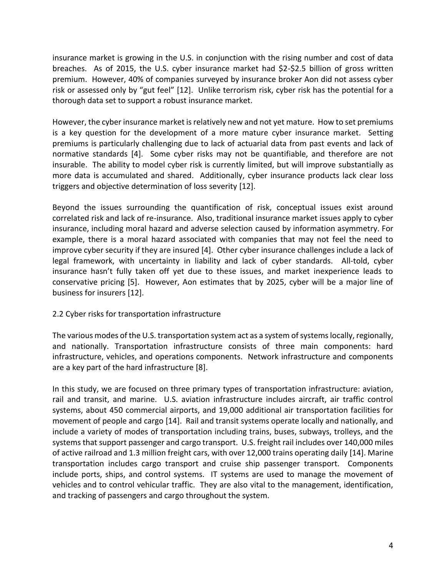insurance market is growing in the U.S. in conjunction with the rising number and cost of data breaches. As of 2015, the U.S. cyber insurance market had \$2-\$2.5 billion of gross written premium. However, 40% of companies surveyed by insurance broker Aon did not assess cyber risk or assessed only by "gut feel" [12]. Unlike terrorism risk, cyber risk has the potential for a thorough data set to support a robust insurance market.

However, the cyber insurance market is relatively new and not yet mature. How to set premiums is a key question for the development of a more mature cyber insurance market. Setting premiums is particularly challenging due to lack of actuarial data from past events and lack of normative standards [4]. Some cyber risks may not be quantifiable, and therefore are not insurable. The ability to model cyber risk is currently limited, but will improve substantially as more data is accumulated and shared. Additionally, cyber insurance products lack clear loss triggers and objective determination of loss severity [12].

Beyond the issues surrounding the quantification of risk, conceptual issues exist around correlated risk and lack of re-insurance. Also, traditional insurance market issues apply to cyber insurance, including moral hazard and adverse selection caused by information asymmetry. For example, there is a moral hazard associated with companies that may not feel the need to improve cyber security if they are insured [4]. Other cyber insurance challenges include a lack of legal framework, with uncertainty in liability and lack of cyber standards. All-told, cyber insurance hasn't fully taken off yet due to these issues, and market inexperience leads to conservative pricing [5]. However, Aon estimates that by 2025, cyber will be a major line of business for insurers [12].

## 2.2 Cyber risks for transportation infrastructure

The various modes of the U.S. transportation system act as a system of systems locally, regionally, and nationally. Transportation infrastructure consists of three main components: hard infrastructure, vehicles, and operations components. Network infrastructure and components are a key part of the hard infrastructure [8].

In this study, we are focused on three primary types of transportation infrastructure: aviation, rail and transit, and marine. U.S. aviation infrastructure includes aircraft, air traffic control systems, about 450 commercial airports, and 19,000 additional air transportation facilities for movement of people and cargo [14]. Rail and transit systems operate locally and nationally, and include a variety of modes of transportation including trains, buses, subways, trolleys, and the systems that support passenger and cargo transport. U.S. freight rail includes over 140,000 miles of active railroad and 1.3 million freight cars, with over 12,000 trains operating daily [14]. Marine transportation includes cargo transport and cruise ship passenger transport. Components include ports, ships, and control systems. IT systems are used to manage the movement of vehicles and to control vehicular traffic. They are also vital to the management, identification, and tracking of passengers and cargo throughout the system.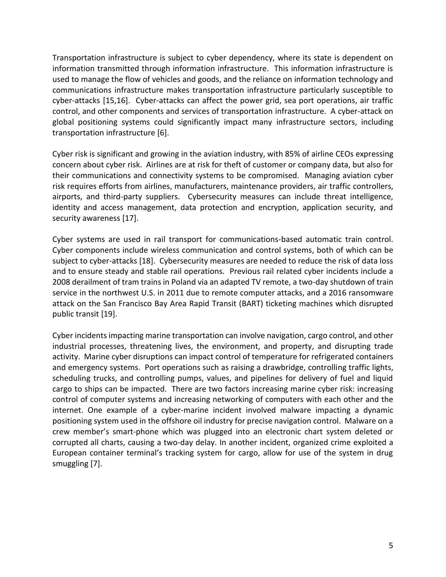Transportation infrastructure is subject to cyber dependency, where its state is dependent on information transmitted through information infrastructure. This information infrastructure is used to manage the flow of vehicles and goods, and the reliance on information technology and communications infrastructure makes transportation infrastructure particularly susceptible to cyber-attacks [15,16]. Cyber-attacks can affect the power grid, sea port operations, air traffic control, and other components and services of transportation infrastructure. A cyber-attack on global positioning systems could significantly impact many infrastructure sectors, including transportation infrastructure [6].

Cyber risk is significant and growing in the aviation industry, with 85% of airline CEOs expressing concern about cyber risk. Airlines are at risk for theft of customer or company data, but also for their communications and connectivity systems to be compromised. Managing aviation cyber risk requires efforts from airlines, manufacturers, maintenance providers, air traffic controllers, airports, and third-party suppliers. Cybersecurity measures can include threat intelligence, identity and access management, data protection and encryption, application security, and security awareness [17].

Cyber systems are used in rail transport for communications-based automatic train control. Cyber components include wireless communication and control systems, both of which can be subject to cyber-attacks [18]. Cybersecurity measures are needed to reduce the risk of data loss and to ensure steady and stable rail operations. Previous rail related cyber incidents include a 2008 derailment of tram trains in Poland via an adapted TV remote, a two-day shutdown of train service in the northwest U.S. in 2011 due to remote computer attacks, and a 2016 ransomware attack on the San Francisco Bay Area Rapid Transit (BART) ticketing machines which disrupted public transit [19].

Cyber incidents impacting marine transportation can involve navigation, cargo control, and other industrial processes, threatening lives, the environment, and property, and disrupting trade activity. Marine cyber disruptions can impact control of temperature for refrigerated containers and emergency systems. Port operations such as raising a drawbridge, controlling traffic lights, scheduling trucks, and controlling pumps, values, and pipelines for delivery of fuel and liquid cargo to ships can be impacted. There are two factors increasing marine cyber risk: increasing control of computer systems and increasing networking of computers with each other and the internet. One example of a cyber-marine incident involved malware impacting a dynamic positioning system used in the offshore oil industry for precise navigation control. Malware on a crew member's smart-phone which was plugged into an electronic chart system deleted or corrupted all charts, causing a two-day delay. In another incident, organized crime exploited a European container terminal's tracking system for cargo, allow for use of the system in drug smuggling [7].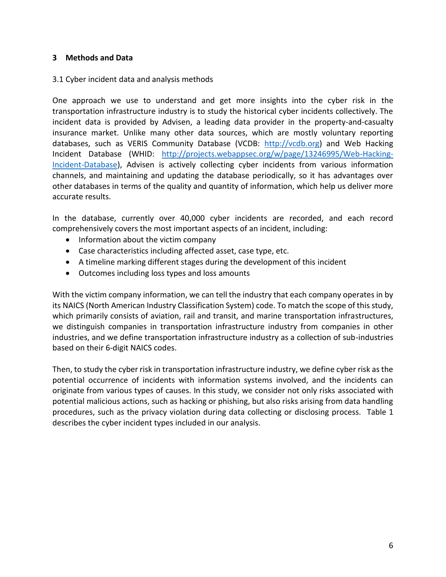#### **3 Methods and Data**

#### 3.1 Cyber incident data and analysis methods

One approach we use to understand and get more insights into the cyber risk in the transportation infrastructure industry is to study the historical cyber incidents collectively. The incident data is provided by Advisen, a leading data provider in the property-and-casualty insurance market. Unlike many other data sources, which are mostly voluntary reporting databases, such as VERIS Community Database (VCDB: [http://vcdb.org\)](http://vcdb.org/) and Web Hacking Incident Database (WHID: [http://projects.webappsec.org/w/page/13246995/Web-Hacking-](http://projects.webappsec.org/w/page/13246995/Web-Hacking-Incident-Database)[Incident-Database\)](http://projects.webappsec.org/w/page/13246995/Web-Hacking-Incident-Database), Advisen is actively collecting cyber incidents from various information channels, and maintaining and updating the database periodically, so it has advantages over other databases in terms of the quality and quantity of information, which help us deliver more accurate results.

In the database, currently over 40,000 cyber incidents are recorded, and each record comprehensively covers the most important aspects of an incident, including:

- Information about the victim company
- Case characteristics including affected asset, case type, etc.
- A timeline marking different stages during the development of this incident
- Outcomes including loss types and loss amounts

With the victim company information, we can tell the industry that each company operates in by its NAICS (North American Industry Classification System) code. To match the scope of this study, which primarily consists of aviation, rail and transit, and marine transportation infrastructures, we distinguish companies in transportation infrastructure industry from companies in other industries, and we define transportation infrastructure industry as a collection of sub-industries based on their 6-digit NAICS codes.

Then, to study the cyber risk in transportation infrastructure industry, we define cyber risk as the potential occurrence of incidents with information systems involved, and the incidents can originate from various types of causes. In this study, we consider not only risks associated with potential malicious actions, such as hacking or phishing, but also risks arising from data handling procedures, such as the privacy violation during data collecting or disclosing process. Table 1 describes the cyber incident types included in our analysis.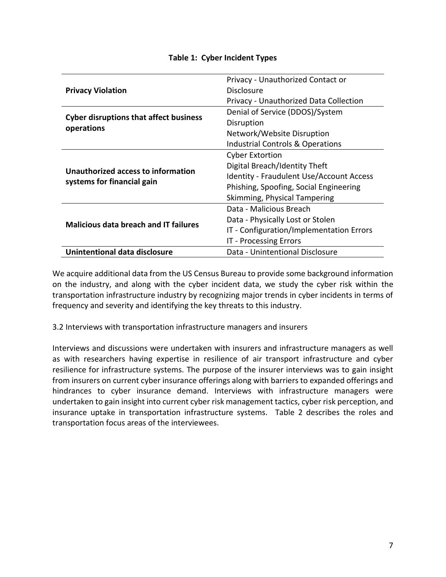| <b>Privacy Violation</b>                                         | Privacy - Unauthorized Contact or               |
|------------------------------------------------------------------|-------------------------------------------------|
|                                                                  | Disclosure                                      |
|                                                                  | Privacy - Unauthorized Data Collection          |
| <b>Cyber disruptions that affect business</b><br>operations      | Denial of Service (DDOS)/System                 |
|                                                                  | Disruption                                      |
|                                                                  | Network/Website Disruption                      |
|                                                                  | Industrial Controls & Operations                |
| Unauthorized access to information<br>systems for financial gain | <b>Cyber Extortion</b>                          |
|                                                                  | Digital Breach/Identity Theft                   |
|                                                                  | <b>Identity - Fraudulent Use/Account Access</b> |
|                                                                  | Phishing, Spoofing, Social Engineering          |
|                                                                  | Skimming, Physical Tampering                    |
| <b>Malicious data breach and IT failures</b>                     | Data - Malicious Breach                         |
|                                                                  | Data - Physically Lost or Stolen                |
|                                                                  | IT - Configuration/Implementation Errors        |
|                                                                  | <b>IT - Processing Errors</b>                   |
| Unintentional data disclosure                                    | Data - Unintentional Disclosure                 |

## **Table 1: Cyber Incident Types**

We acquire additional data from the US Census Bureau to provide some background information on the industry, and along with the cyber incident data, we study the cyber risk within the transportation infrastructure industry by recognizing major trends in cyber incidents in terms of frequency and severity and identifying the key threats to this industry.

3.2 Interviews with transportation infrastructure managers and insurers

Interviews and discussions were undertaken with insurers and infrastructure managers as well as with researchers having expertise in resilience of air transport infrastructure and cyber resilience for infrastructure systems. The purpose of the insurer interviews was to gain insight from insurers on current cyber insurance offerings along with barriers to expanded offerings and hindrances to cyber insurance demand. Interviews with infrastructure managers were undertaken to gain insight into current cyber risk management tactics, cyber risk perception, and insurance uptake in transportation infrastructure systems. Table 2 describes the roles and transportation focus areas of the interviewees.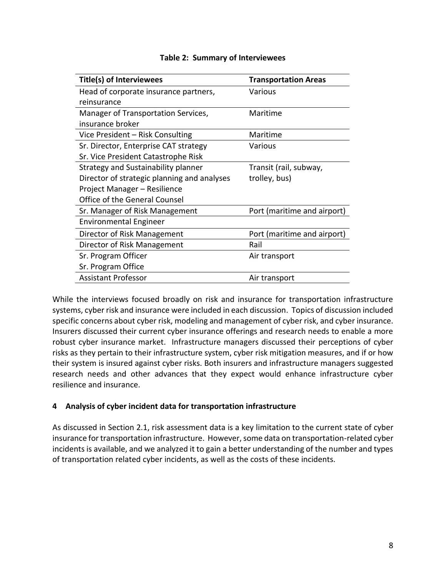| Title(s) of Interviewees                    | <b>Transportation Areas</b> |
|---------------------------------------------|-----------------------------|
| Head of corporate insurance partners,       | Various                     |
| reinsurance                                 |                             |
| Manager of Transportation Services,         | Maritime                    |
| insurance broker                            |                             |
| Vice President – Risk Consulting            | Maritime                    |
| Sr. Director, Enterprise CAT strategy       | Various                     |
| Sr. Vice President Catastrophe Risk         |                             |
| Strategy and Sustainability planner         | Transit (rail, subway,      |
| Director of strategic planning and analyses | trolley, bus)               |
| Project Manager - Resilience                |                             |
| Office of the General Counsel               |                             |
| Sr. Manager of Risk Management              | Port (maritime and airport) |
| <b>Environmental Engineer</b>               |                             |
| Director of Risk Management                 | Port (maritime and airport) |
| Director of Risk Management                 | Rail                        |
| Sr. Program Officer                         | Air transport               |
| Sr. Program Office                          |                             |
| <b>Assistant Professor</b>                  | Air transport               |

## **Table 2: Summary of Interviewees**

While the interviews focused broadly on risk and insurance for transportation infrastructure systems, cyber risk and insurance were included in each discussion. Topics of discussion included specific concerns about cyber risk, modeling and management of cyber risk, and cyber insurance. Insurers discussed their current cyber insurance offerings and research needs to enable a more robust cyber insurance market. Infrastructure managers discussed their perceptions of cyber risks as they pertain to their infrastructure system, cyber risk mitigation measures, and if or how their system is insured against cyber risks. Both insurers and infrastructure managers suggested research needs and other advances that they expect would enhance infrastructure cyber resilience and insurance.

## **4 Analysis of cyber incident data for transportation infrastructure**

As discussed in Section 2.1, risk assessment data is a key limitation to the current state of cyber insurance for transportation infrastructure. However, some data on transportation-related cyber incidents is available, and we analyzed it to gain a better understanding of the number and types of transportation related cyber incidents, as well as the costs of these incidents.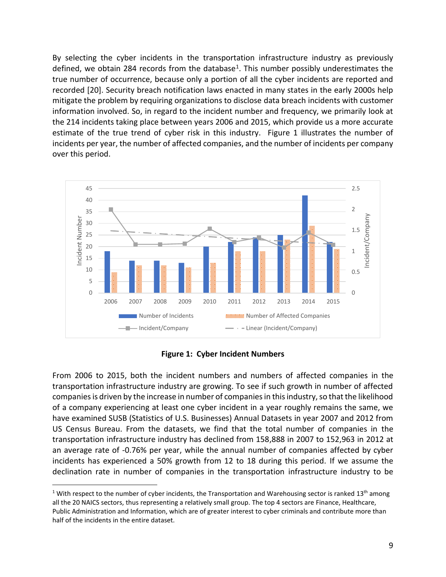By selecting the cyber incidents in the transportation infrastructure industry as previously defined, we obtain 284 records from the database<sup>1</sup>. This number possibly underestimates the true number of occurrence, because only a portion of all the cyber incidents are reported and recorded [20]. Security breach notification laws enacted in many states in the early 2000s help mitigate the problem by requiring organizations to disclose data breach incidents with customer information involved. So, in regard to the incident number and frequency, we primarily look at the 214 incidents taking place between years 2006 and 2015, which provide us a more accurate estimate of the true trend of cyber risk in this industry. Figure 1 illustrates the number of incidents per year, the number of affected companies, and the number of incidents per company over this period.



**Figure 1: Cyber Incident Numbers**

From 2006 to 2015, both the incident numbers and numbers of affected companies in the transportation infrastructure industry are growing. To see if such growth in number of affected companies is driven by the increase in number of companies in this industry, so that the likelihood of a company experiencing at least one cyber incident in a year roughly remains the same, we have examined SUSB (Statistics of U.S. Businesses) Annual Datasets in year 2007 and 2012 from US Census Bureau. From the datasets, we find that the total number of companies in the transportation infrastructure industry has declined from 158,888 in 2007 to 152,963 in 2012 at an average rate of -0.76% per year, while the annual number of companies affected by cyber incidents has experienced a 50% growth from 12 to 18 during this period. If we assume the declination rate in number of companies in the transportation infrastructure industry to be

 $\overline{a}$ 

<sup>&</sup>lt;sup>1</sup> With respect to the number of cyber incidents, the Transportation and Warehousing sector is ranked 13<sup>th</sup> among all the 20 NAICS sectors, thus representing a relatively small group. The top 4 sectors are Finance, Healthcare, Public Administration and Information, which are of greater interest to cyber criminals and contribute more than half of the incidents in the entire dataset.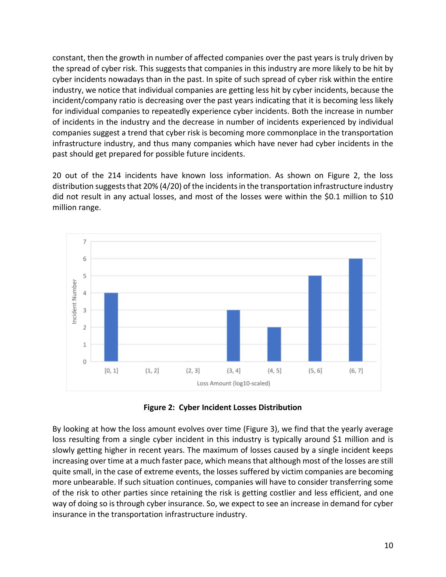constant, then the growth in number of affected companies over the past years is truly driven by the spread of cyber risk. This suggests that companies in this industry are more likely to be hit by cyber incidents nowadays than in the past. In spite of such spread of cyber risk within the entire industry, we notice that individual companies are getting less hit by cyber incidents, because the incident/company ratio is decreasing over the past years indicating that it is becoming less likely for individual companies to repeatedly experience cyber incidents. Both the increase in number of incidents in the industry and the decrease in number of incidents experienced by individual companies suggest a trend that cyber risk is becoming more commonplace in the transportation infrastructure industry, and thus many companies which have never had cyber incidents in the past should get prepared for possible future incidents.

20 out of the 214 incidents have known loss information. As shown on Figure 2, the loss distribution suggests that 20% (4/20) of the incidents in the transportation infrastructure industry did not result in any actual losses, and most of the losses were within the \$0.1 million to \$10 million range.





By looking at how the loss amount evolves over time (Figure 3), we find that the yearly average loss resulting from a single cyber incident in this industry is typically around \$1 million and is slowly getting higher in recent years. The maximum of losses caused by a single incident keeps increasing over time at a much faster pace, which means that although most of the losses are still quite small, in the case of extreme events, the losses suffered by victim companies are becoming more unbearable. If such situation continues, companies will have to consider transferring some of the risk to other parties since retaining the risk is getting costlier and less efficient, and one way of doing so is through cyber insurance. So, we expect to see an increase in demand for cyber insurance in the transportation infrastructure industry.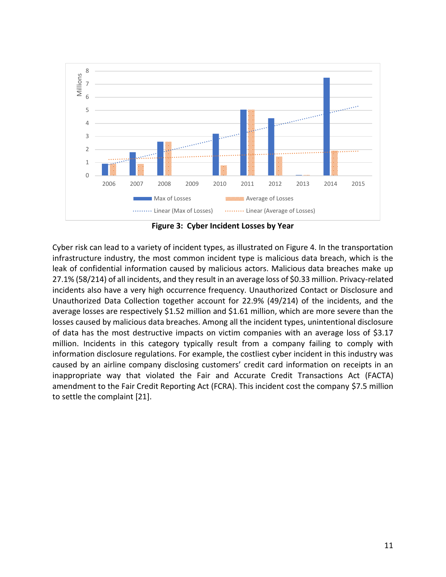

**Figure 3: Cyber Incident Losses by Year**

Cyber risk can lead to a variety of incident types, as illustrated on Figure 4. In the transportation infrastructure industry, the most common incident type is malicious data breach, which is the leak of confidential information caused by malicious actors. Malicious data breaches make up 27.1% (58/214) of all incidents, and they result in an average loss of \$0.33 million. Privacy-related incidents also have a very high occurrence frequency. Unauthorized Contact or Disclosure and Unauthorized Data Collection together account for 22.9% (49/214) of the incidents, and the average losses are respectively \$1.52 million and \$1.61 million, which are more severe than the losses caused by malicious data breaches. Among all the incident types, unintentional disclosure of data has the most destructive impacts on victim companies with an average loss of \$3.17 million. Incidents in this category typically result from a company failing to comply with information disclosure regulations. For example, the costliest cyber incident in this industry was caused by an airline company disclosing customers' credit card information on receipts in an inappropriate way that violated the Fair and Accurate Credit Transactions Act (FACTA) amendment to the Fair Credit Reporting Act (FCRA). This incident cost the company \$7.5 million to settle the complaint [21].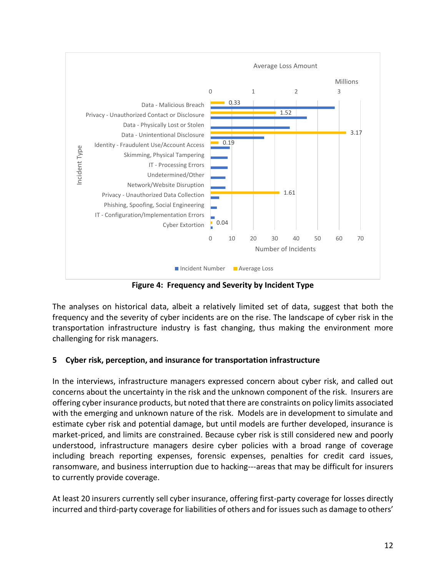

**Figure 4: Frequency and Severity by Incident Type**

The analyses on historical data, albeit a relatively limited set of data, suggest that both the frequency and the severity of cyber incidents are on the rise. The landscape of cyber risk in the transportation infrastructure industry is fast changing, thus making the environment more challenging for risk managers.

# **5 Cyber risk, perception, and insurance for transportation infrastructure**

In the interviews, infrastructure managers expressed concern about cyber risk, and called out concerns about the uncertainty in the risk and the unknown component of the risk. Insurers are offering cyber insurance products, but noted that there are constraints on policy limits associated with the emerging and unknown nature of the risk. Models are in development to simulate and estimate cyber risk and potential damage, but until models are further developed, insurance is market-priced, and limits are constrained. Because cyber risk is still considered new and poorly understood, infrastructure managers desire cyber policies with a broad range of coverage including breach reporting expenses, forensic expenses, penalties for credit card issues, ransomware, and business interruption due to hacking---areas that may be difficult for insurers to currently provide coverage.

At least 20 insurers currently sell cyber insurance, offering first-party coverage for losses directly incurred and third-party coverage for liabilities of others and for issues such as damage to others'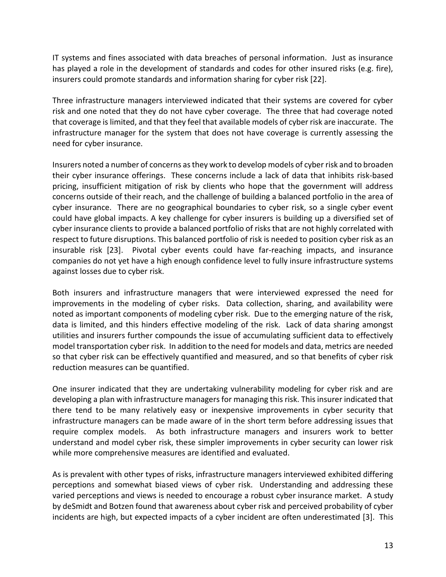IT systems and fines associated with data breaches of personal information. Just as insurance has played a role in the development of standards and codes for other insured risks (e.g. fire), insurers could promote standards and information sharing for cyber risk [22].

Three infrastructure managers interviewed indicated that their systems are covered for cyber risk and one noted that they do not have cyber coverage. The three that had coverage noted that coverage is limited, and that they feel that available models of cyber risk are inaccurate. The infrastructure manager for the system that does not have coverage is currently assessing the need for cyber insurance.

Insurers noted a number of concerns as they work to develop models of cyber risk and to broaden their cyber insurance offerings. These concerns include a lack of data that inhibits risk-based pricing, insufficient mitigation of risk by clients who hope that the government will address concerns outside of their reach, and the challenge of building a balanced portfolio in the area of cyber insurance. There are no geographical boundaries to cyber risk, so a single cyber event could have global impacts. A key challenge for cyber insurers is building up a diversified set of cyber insurance clients to provide a balanced portfolio of risks that are not highly correlated with respect to future disruptions. This balanced portfolio of risk is needed to position cyber risk as an insurable risk [23]. Pivotal cyber events could have far-reaching impacts, and insurance companies do not yet have a high enough confidence level to fully insure infrastructure systems against losses due to cyber risk.

Both insurers and infrastructure managers that were interviewed expressed the need for improvements in the modeling of cyber risks. Data collection, sharing, and availability were noted as important components of modeling cyber risk. Due to the emerging nature of the risk, data is limited, and this hinders effective modeling of the risk. Lack of data sharing amongst utilities and insurers further compounds the issue of accumulating sufficient data to effectively model transportation cyber risk. In addition to the need for models and data, metrics are needed so that cyber risk can be effectively quantified and measured, and so that benefits of cyber risk reduction measures can be quantified.

One insurer indicated that they are undertaking vulnerability modeling for cyber risk and are developing a plan with infrastructure managers for managing this risk. This insurer indicated that there tend to be many relatively easy or inexpensive improvements in cyber security that infrastructure managers can be made aware of in the short term before addressing issues that require complex models. As both infrastructure managers and insurers work to better understand and model cyber risk, these simpler improvements in cyber security can lower risk while more comprehensive measures are identified and evaluated.

As is prevalent with other types of risks, infrastructure managers interviewed exhibited differing perceptions and somewhat biased views of cyber risk. Understanding and addressing these varied perceptions and views is needed to encourage a robust cyber insurance market. A study by deSmidt and Botzen found that awareness about cyber risk and perceived probability of cyber incidents are high, but expected impacts of a cyber incident are often underestimated [3]. This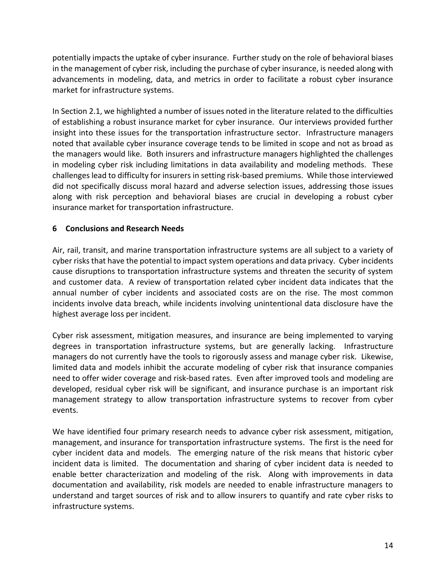potentially impacts the uptake of cyber insurance. Further study on the role of behavioral biases in the management of cyber risk, including the purchase of cyber insurance, is needed along with advancements in modeling, data, and metrics in order to facilitate a robust cyber insurance market for infrastructure systems.

In Section 2.1, we highlighted a number of issues noted in the literature related to the difficulties of establishing a robust insurance market for cyber insurance. Our interviews provided further insight into these issues for the transportation infrastructure sector. Infrastructure managers noted that available cyber insurance coverage tends to be limited in scope and not as broad as the managers would like. Both insurers and infrastructure managers highlighted the challenges in modeling cyber risk including limitations in data availability and modeling methods. These challenges lead to difficulty for insurers in setting risk-based premiums. While those interviewed did not specifically discuss moral hazard and adverse selection issues, addressing those issues along with risk perception and behavioral biases are crucial in developing a robust cyber insurance market for transportation infrastructure.

## **6 Conclusions and Research Needs**

Air, rail, transit, and marine transportation infrastructure systems are all subject to a variety of cyber risks that have the potential to impact system operations and data privacy. Cyber incidents cause disruptions to transportation infrastructure systems and threaten the security of system and customer data. A review of transportation related cyber incident data indicates that the annual number of cyber incidents and associated costs are on the rise. The most common incidents involve data breach, while incidents involving unintentional data disclosure have the highest average loss per incident.

Cyber risk assessment, mitigation measures, and insurance are being implemented to varying degrees in transportation infrastructure systems, but are generally lacking. Infrastructure managers do not currently have the tools to rigorously assess and manage cyber risk. Likewise, limited data and models inhibit the accurate modeling of cyber risk that insurance companies need to offer wider coverage and risk-based rates. Even after improved tools and modeling are developed, residual cyber risk will be significant, and insurance purchase is an important risk management strategy to allow transportation infrastructure systems to recover from cyber events.

We have identified four primary research needs to advance cyber risk assessment, mitigation, management, and insurance for transportation infrastructure systems. The first is the need for cyber incident data and models. The emerging nature of the risk means that historic cyber incident data is limited. The documentation and sharing of cyber incident data is needed to enable better characterization and modeling of the risk. Along with improvements in data documentation and availability, risk models are needed to enable infrastructure managers to understand and target sources of risk and to allow insurers to quantify and rate cyber risks to infrastructure systems.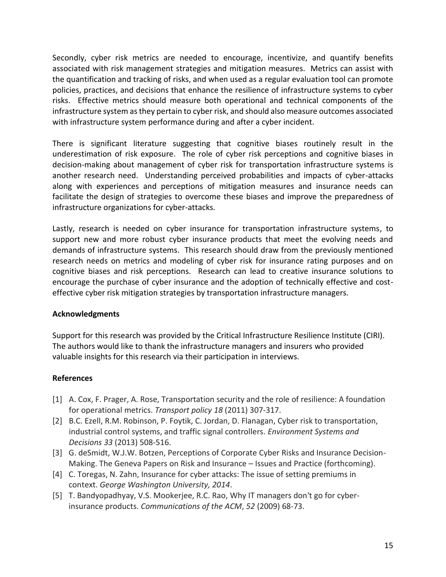Secondly, cyber risk metrics are needed to encourage, incentivize, and quantify benefits associated with risk management strategies and mitigation measures. Metrics can assist with the quantification and tracking of risks, and when used as a regular evaluation tool can promote policies, practices, and decisions that enhance the resilience of infrastructure systems to cyber risks. Effective metrics should measure both operational and technical components of the infrastructure system as they pertain to cyber risk, and should also measure outcomes associated with infrastructure system performance during and after a cyber incident.

There is significant literature suggesting that cognitive biases routinely result in the underestimation of risk exposure. The role of cyber risk perceptions and cognitive biases in decision-making about management of cyber risk for transportation infrastructure systems is another research need. Understanding perceived probabilities and impacts of cyber-attacks along with experiences and perceptions of mitigation measures and insurance needs can facilitate the design of strategies to overcome these biases and improve the preparedness of infrastructure organizations for cyber-attacks.

Lastly, research is needed on cyber insurance for transportation infrastructure systems, to support new and more robust cyber insurance products that meet the evolving needs and demands of infrastructure systems. This research should draw from the previously mentioned research needs on metrics and modeling of cyber risk for insurance rating purposes and on cognitive biases and risk perceptions. Research can lead to creative insurance solutions to encourage the purchase of cyber insurance and the adoption of technically effective and costeffective cyber risk mitigation strategies by transportation infrastructure managers.

## **Acknowledgments**

Support for this research was provided by the Critical Infrastructure Resilience Institute (CIRI). The authors would like to thank the infrastructure managers and insurers who provided valuable insights for this research via their participation in interviews.

## **References**

- [1] A. Cox, F. Prager, A. Rose, Transportation security and the role of resilience: A foundation for operational metrics. *Transport policy 18* (2011) 307-317.
- [2] B.C. Ezell, R.M. Robinson, P. Foytik, C. Jordan, D. Flanagan, Cyber risk to transportation, industrial control systems, and traffic signal controllers. *Environment Systems and Decisions 33* (2013) 508-516.
- [3] G. deSmidt, W.J.W. Botzen, Perceptions of Corporate Cyber Risks and Insurance Decision-Making. The Geneva Papers on Risk and Insurance – Issues and Practice (forthcoming).
- [4] C. Toregas, N. Zahn, Insurance for cyber attacks: The issue of setting premiums in context. *George Washington University, 2014*.
- [5] T. Bandyopadhyay, V.S. Mookerjee, R.C. Rao, Why IT managers don't go for cyberinsurance products. *Communications of the ACM*, *52* (2009) 68-73.